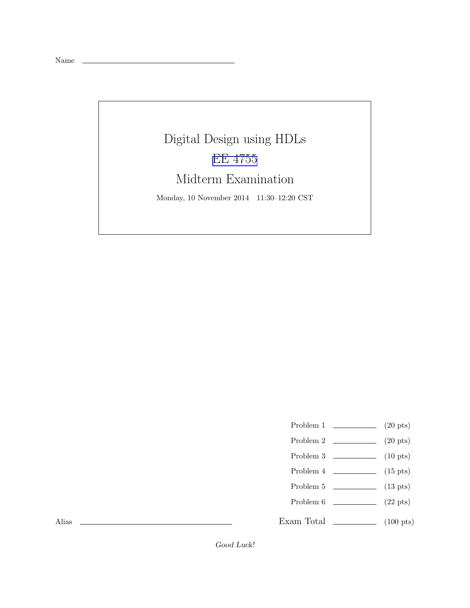## Digital Design using HDLs [EE 4755](http://www.ece.lsu.edu/koppel/v/) Midterm Examination

Monday, 10 November 2014 11:30–12:20 CST

- Problem 1  $(20 \text{ pts})$
- Problem 2  $\qquad \qquad (20 \text{ pts})$
- Problem  $3 \t\t(10 \text{ pts})$
- Problem 4  $\qquad \qquad$  (15 pts)
- Problem 5  $\qquad \qquad$  (13 pts)
- Problem  $6 \t\t(22 \text{ pts})$
- Exam Total  $\qquad \qquad$  (100 pts)

Alias

Good Luck!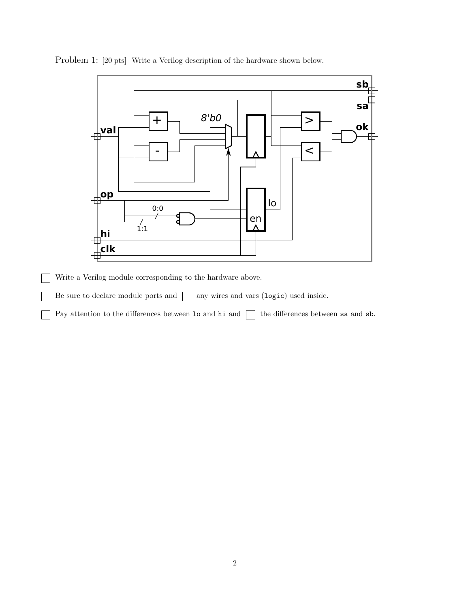

Problem 1: [20 pts] Write a Verilog description of the hardware shown below.

Write a Verilog module corresponding to the hardware above.

Be sure to declare module ports and  $\Box$  any wires and vars (logic) used inside.

Pay attention to the differences between  $\log$  hi and  $\log$  the differences between sa and sb.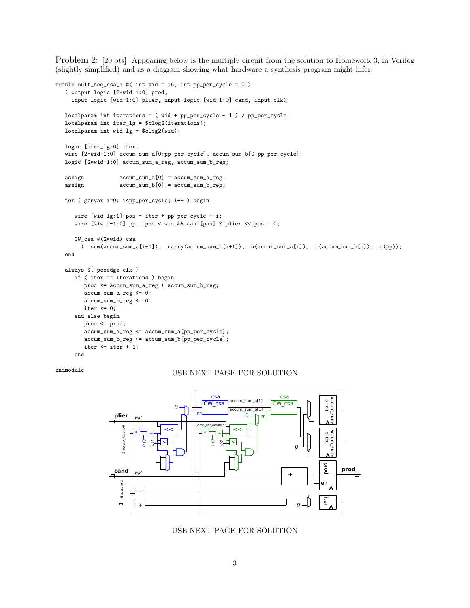Problem 2: [20 pts] Appearing below is the multiply circuit from the solution to Homework 3, in Verilog (slightly simplified) and as a diagram showing what hardware a synthesis program might infer.

```
module mult_seq_csa_m #( int wid = 16, int pp_per_cycle = 2 )
   ( output logic [2*wid-1:0] prod,
    input logic [wid-1:0] plier, input logic [wid-1:0] cand, input clk);
  localparam int iterations = (wid + pp_{per\_cycle} - 1) / pp_{per\_cycle};
  localparam int iter_lg = $clog2(iterations);
  localparam int wid_lg = $clog2(wid);
  logic [iter_lg:0] iter;
  wire [2*wid-1:0] accum_sum_a[0:pp_per_cycle], accum_sum_b[0:pp_per_cycle];
  logic [2*wid-1:0] accum_sum_a_reg, accum_sum_b_reg;
  assign accum_sum_a[0] = accum_sum_a_reg;
  assign \text{accum\_sum_b[0]} = \text{accum\_sum_b_reg};for ( genvar i=0; i<pp_per_cycle; i++ ) begin
      wire [wid_lg:1] pos = iter * pp_per_cycle + i;
      wire [2*wid-1:0] pp = pos < wid && cand[pos] ? plier << pos : 0;
      CW_csa #(2*wid) csa
        ( .sum(accum_sum_a[i+1]), .carry(accum_sum_b[i+1]), .a(accum_sum_a[i]), .b(accum_sum_b[i]), .c(pp));
  end
  always @( posedge clk )
      if ( iter == iterations ) begin
        prod <= accum_sum_a_reg + accum_sum_b_reg;
        accum_sum_a_reg <= 0;
        accum_sum_b_reg <= 0;
        iter \leq 0;
      end else begin
        prod <= prod;
         accum_sum_a_reg <= accum_sum_a[pp_per_cycle];
        accum_sum_b_reg <= accum_sum_b[pp_per_cycle];
        iter \leq iter + 1;
      end
```
## endmodule USE NEXT PAGE FOR SOLUTION



USE NEXT PAGE FOR SOLUTION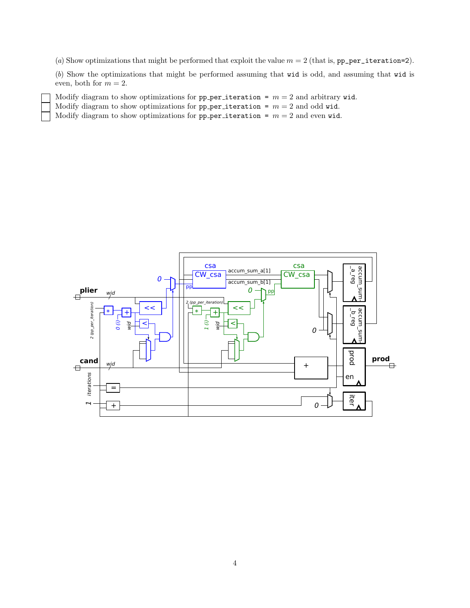(a) Show optimizations that might be performed that exploit the value  $m = 2$  (that is, pp\_per\_iteration=2).

(b) Show the optimizations that might be performed assuming that wid is odd, and assuming that wid is even, both for  $m = 2$ .

Modify diagram to show optimizations for pp per iteration =  $m = 2$  and arbitrary wid.

Modify diagram to show optimizations for pp per iteration =  $m = 2$  and odd wid.

Modify diagram to show optimizations for pp per iteration =  $m = 2$  and even wid.



4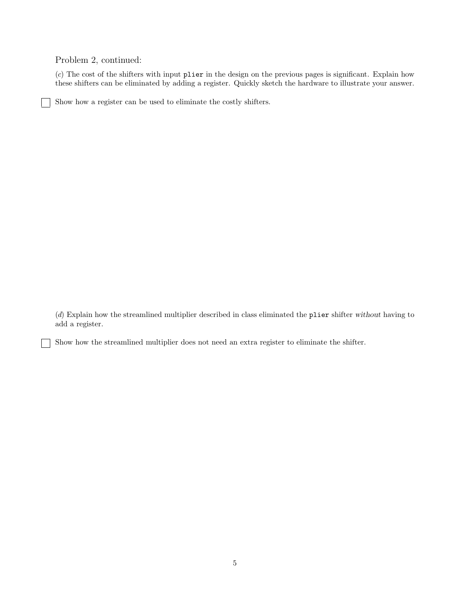Problem 2, continued:

(c) The cost of the shifters with input plier in the design on the previous pages is significant. Explain how these shifters can be eliminated by adding a register. Quickly sketch the hardware to illustrate your answer.

Show how a register can be used to eliminate the costly shifters.

(d) Explain how the streamlined multiplier described in class eliminated the plier shifter without having to add a register.

Show how the streamlined multiplier does not need an extra register to eliminate the shifter.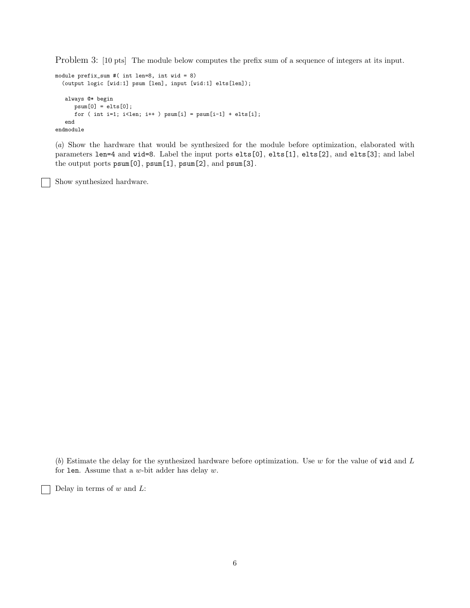Problem 3: [10 pts] The module below computes the prefix sum of a sequence of integers at its input.

```
module prefix_sum #( int len=8, int wid = 8)
  (output logic [wid:1] psum [len], input [wid:1] elts[len]);
   always @* begin
     psum[0] = elts[0];for ( int i=1; i<len; i++ ) psum[i] = psum[i-1] + elts[i];end
endmodule
```
(a) Show the hardware that would be synthesized for the module before optimization, elaborated with parameters len=4 and wid=8. Label the input ports elts[0], elts[1], elts[2], and elts[3]; and label the output ports psum[0], psum[1], psum[2], and psum[3].

Show synthesized hardware.

(b) Estimate the delay for the synthesized hardware before optimization. Use  $w$  for the value of wid and  $L$ for len. Assume that a  $w$ -bit adder has delay  $w$ .

Delay in terms of  $w$  and  $L$ :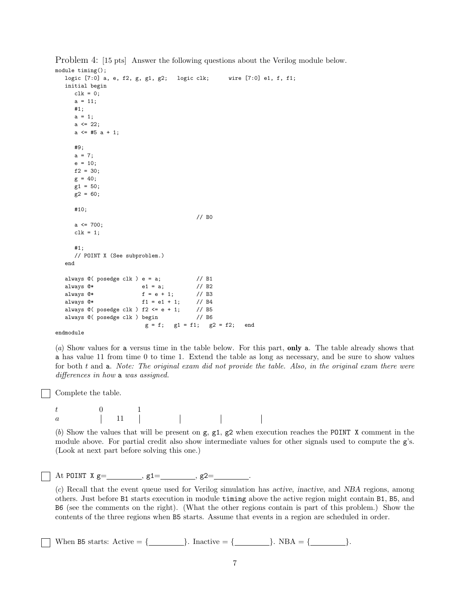```
module timing();
  logic [7:0] a, e, f2, g, g1, g2; logic clk; wire [7:0] e1, f, f1;
  initial begin
      clk = 0;a = 11;#1;
      a = 1;a \leq 22;a \leq 45 a + 1;
      #9;
      a = 7;e = 10;
      f2 = 30;
      g = 40;g1 = 50;
      g2 = 60;
      #10;
                                            // B0
      a <= 700;
      clk = 1;#1;
      // POINT X (See subproblem.)
  end
  always @( posedge clk ) e = a; // B1<br>always @* e1 = a; // B2always @*always @* f = e + 1; // B3
  always @* f1 = e1 + 1; // B4
  always @( posedge clk ) f2 <= e + 1; // B5<br>always @( posedge clk ) begin // B6
  always @( posedge clk ) begin
                            g = f; g1 = f1; g2 = f2; end
```
Problem 4: [15 pts] Answer the following questions about the Verilog module below.

endmodule

(a) Show values for a versus time in the table below. For this part, only a. The table already shows that a has value 11 from time 0 to time 1. Extend the table as long as necessary, and be sure to show values for both t and a. Note: The original exam did not provide the table. Also, in the original exam there were differences in how a was assigned.

Complete the table.

 $\begin{array}{ccc} t & 0 & 1 \\ a & 11 & 1 \end{array}$  $\begin{array}{ccc} t & 0 \\ a & \hspace{1.5cm} \end{array} \qquad \begin{array}{c} 0 \\ 11 \end{array}$ 

(b) Show the values that will be present on  $g$ ,  $g1$ ,  $g2$  when execution reaches the POINT X comment in the module above. For partial credit also show intermediate values for other signals used to compute the g's. (Look at next part before solving this one.)

| At POINT X $g=$ |  |  |  |
|-----------------|--|--|--|
|-----------------|--|--|--|

(c) Recall that the event queue used for Verilog simulation has active, inactive, and NBA regions, among others. Just before B1 starts execution in module timing above the active region might contain B1, B5, and B6 (see the comments on the right). (What the other regions contain is part of this problem.) Show the contents of the three regions when B5 starts. Assume that events in a region are scheduled in order.

When B5 starts: Active = {  $\qquad \qquad$  }. Inactive = {  $\qquad \qquad$  }. NBA = {  $\qquad \qquad$  }.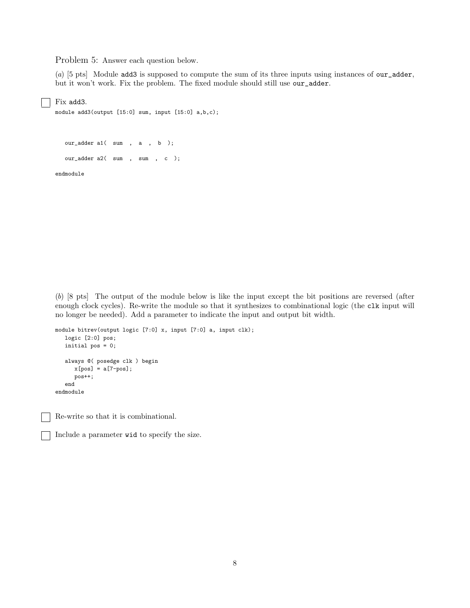Problem 5: Answer each question below.

(a) [5 pts] Module add3 is supposed to compute the sum of its three inputs using instances of our\_adder, but it won't work. Fix the problem. The fixed module should still use our\_adder.

Fix add3.

```
module add3(output [15:0] sum, input [15:0] a,b,c);
```
our\_adder a1( sum , a , b ); our\_adder a2( sum , sum , c );

endmodule

(b) [8 pts] The output of the module below is like the input except the bit positions are reversed (after enough clock cycles). Re-write the module so that it synthesizes to combinational logic (the clk input will no longer be needed). Add a parameter to indicate the input and output bit width.

```
module bitrev(output logic [7:0] x, input [7:0] a, input clk);
  logic [2:0] pos;
  initial pos = 0;
  always @( posedge clk ) begin
     x[pos] = a[7-pos];pos++;
  end
endmodule
```
Re-write so that it is combinational.

Include a parameter wid to specify the size.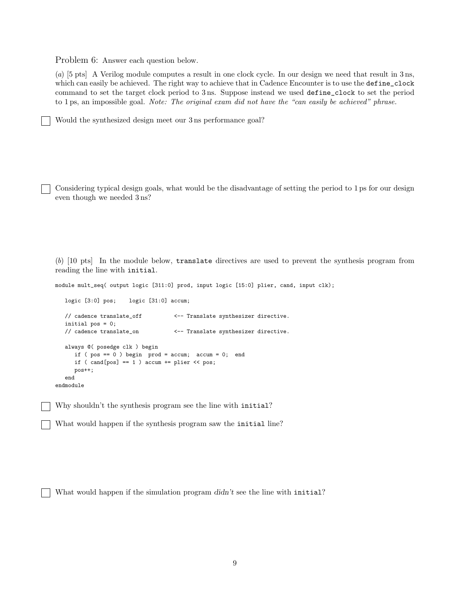Problem 6: Answer each question below.

(a) [5 pts] A Verilog module computes a result in one clock cycle. In our design we need that result in 3 ns, which can easily be achieved. The right way to achieve that in Cadence Encounter is to use the define\_clock command to set the target clock period to 3 ns. Suppose instead we used define\_clock to set the period to 1 ps, an impossible goal. Note: The original exam did not have the "can easily be achieved" phrase.

Would the synthesized design meet our 3 ns performance goal?

Considering typical design goals, what would be the disadvantage of setting the period to 1 ps for our design even though we needed 3 ns?

(b) [10 pts] In the module below, translate directives are used to prevent the synthesis program from reading the line with initial.

module mult\_seq( output logic [311:0] prod, input logic [15:0] plier, cand, input clk);

```
logic [3:0] pos; logic [31:0] accum;
  // cadence translate_off <-- Translate synthesizer directive.
  initial pos = 0;
  // cadence translate_on <-- Translate synthesizer directive.
  always @( posedge clk ) begin
     if (pos == 0) begin prod = accum; accum = 0; end
     if ( cand[pos] == 1 ) accum += plier << pos;pos++;
  end
endmodule
```
Why shouldn't the synthesis program see the line with initial?

What would happen if the synthesis program saw the initial line?

What would happen if the simulation program didn't see the line with initial?